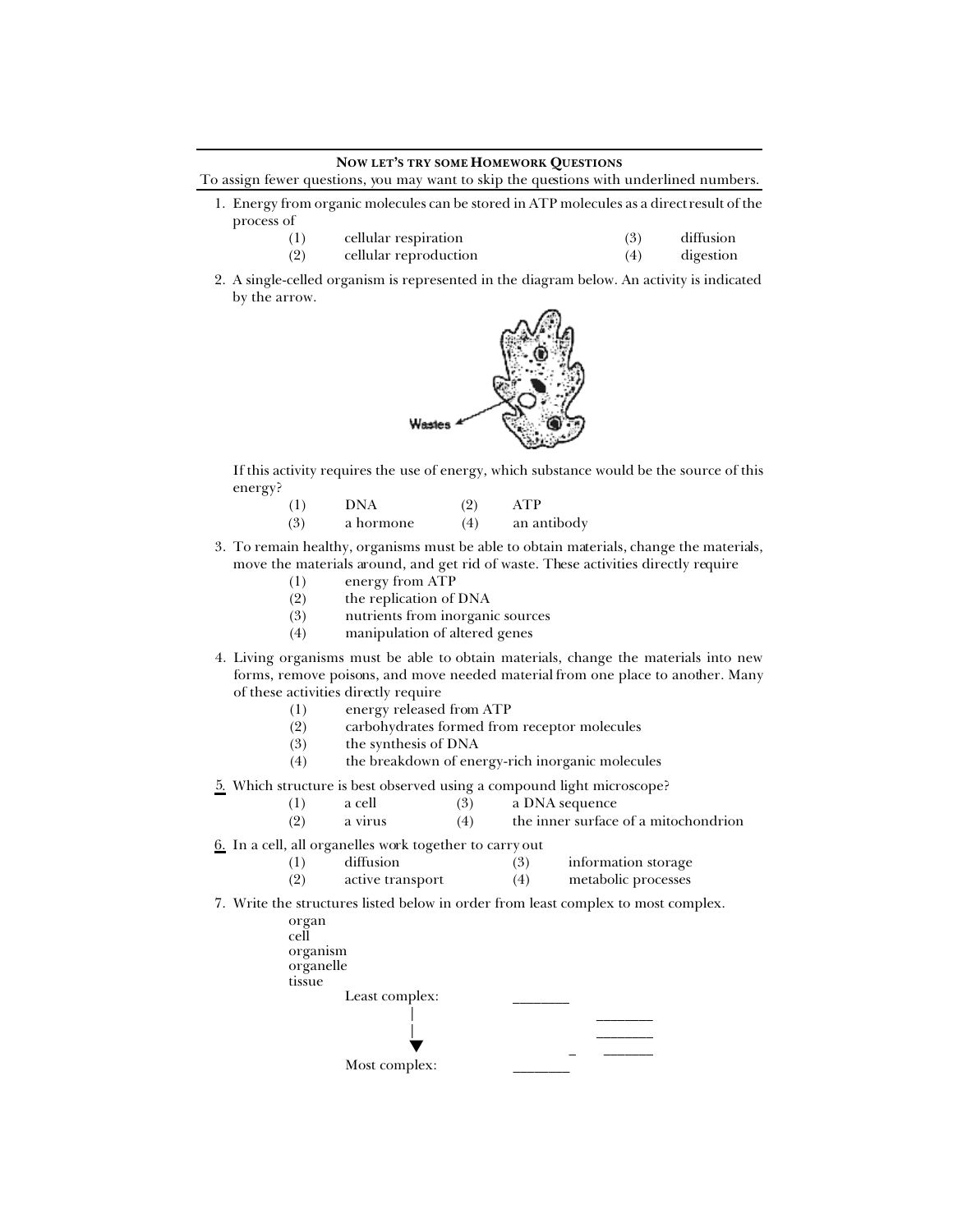## **NOW LET'S TRY SOME HOMEWORK QUESTIONS**

To assign fewer questions, you may want to skip the questions with underlined numbers.

- 1. Energy from organic molecules can be stored in ATP molecules as a direct result of the process of
	- (1) cellular respiration (3) diffusion
	- (2) cellular reproduction (4) digestion
- 2. A single-celled organism is represented in the diagram below. An activity is indicated by the arrow.



If this activity requires the use of energy, which substance would be the source of this energy?

- (1) DNA (2) ATP (3) a hormone (4) an antibody
- 3. To remain healthy, organisms must be able to obtain materials, change the materials, move the materials around, and get rid of waste. These activities directly require
	- (1) energy from ATP
	- (2) the replication of DNA
	- (3) nutrients from inorganic sources
	- (4) manipulation of altered genes
- 4. Living organisms must be able to obtain materials, change the materials into new forms, remove poisons, and move needed material from one place to another. Many of these activities directly require
	- (1) energy released from ATP
	- (2) carbohydrates formed from receptor molecules
	- (3) the synthesis of DNA
	- (4) the breakdown of energy-rich inorganic molecules
- 5. Which structure is best observed using a compound light microscope?
	- (1) a cell (3) a DNA sequence
	- (2) a virus (4) the inner surface of a mitochondrion
- 6. In a cell, all organelles work together to carry out
	- (1) diffusion (3) information storage
	- (2) active transport (4) metabolic processes
- 7. Write the structures listed below in order from least complex to most complex.

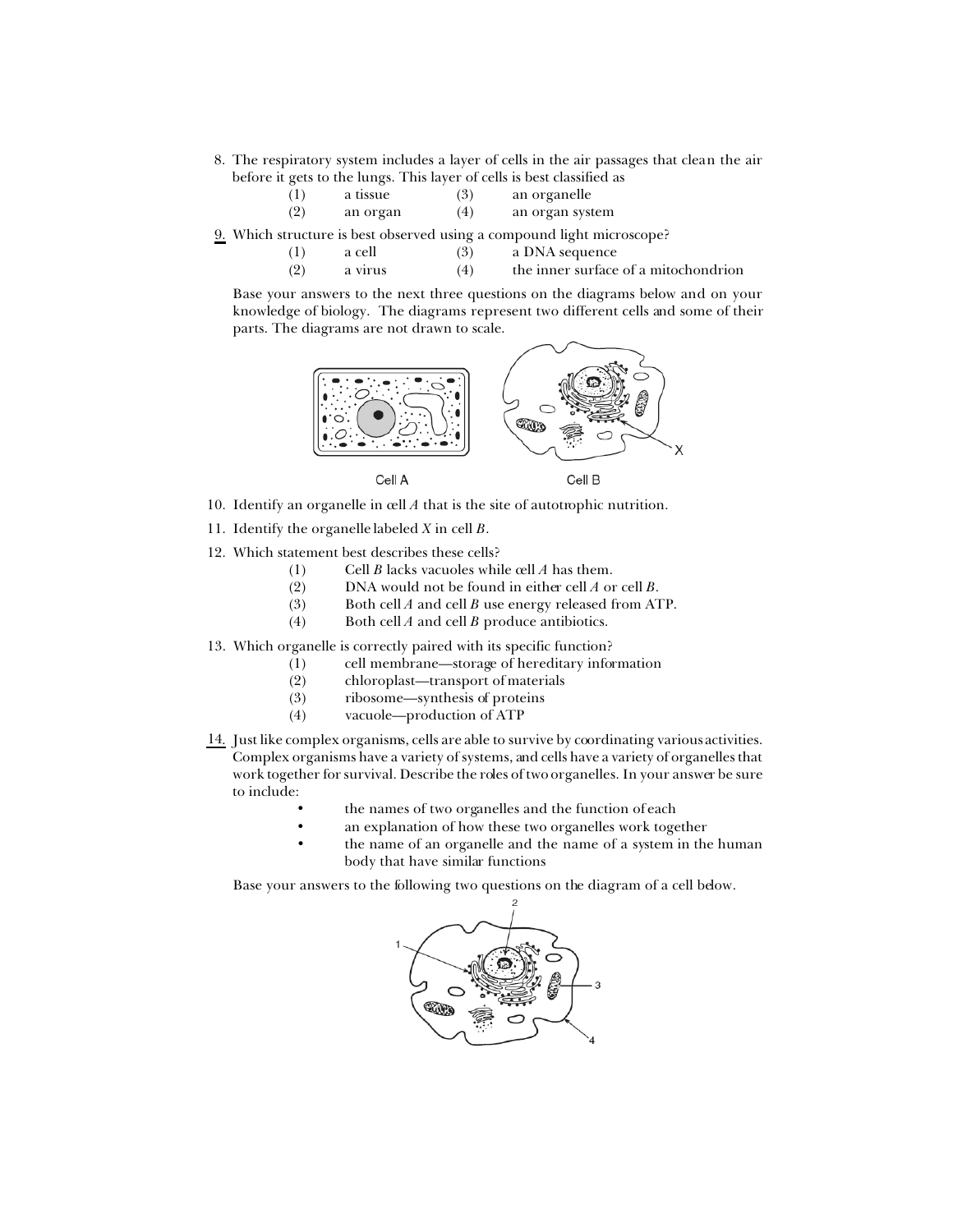8. The respiratory system includes a layer of cells in the air passages that clean the air before it gets to the lungs. This layer of cells is best classified as

| (1) | a tissue | (3) | an organelle    |
|-----|----------|-----|-----------------|
| (2) | an organ | (4) | an organ system |

- 9. Which structure is best observed using a compound light microscope?
	- (1) a cell (3) a DNA sequence<br>
	(2) a virus (4) the inner surface (2) a virus (4) the inner surface of a mitochondrion

Base your answers to the next three questions on the diagrams below and on your knowledge of biology. The diagrams represent two different cells and some of their parts. The diagrams are not drawn to scale.



- 10. Identify an organelle in cell *A* that is the site of autotrophic nutrition.
- 11. Identify the organelle labeled *X* in cell *B*.
- 12. Which statement best describes these cells?
	- (1) Cell *B* lacks vacuoles while cell *A* has them.
	- (2) DNA would not be found in either cell *A* or cell *B*.
	- (3) Both cell *A* and cell *B* use energy released from ATP.
	- (4) Both cell *A* and cell *B* produce antibiotics.
- 13. Which organelle is correctly paired with its specific function?
	- (1) cell membrane—storage of hereditary information
	- (2) chloroplast—transport of materials
	- (3) ribosome—synthesis of proteins
	- (4) vacuole—production of ATP
- 14. Just like complex organisms, cells are able to survive by coordinating various activities. Complex organisms have a variety of systems, and cells have a variety of organelles that work together for survival. Describe the roles of two organelles. In your answer be sure to include:
	- the names of two organelles and the function of each
	- an explanation of how these two organelles work together
	- the name of an organelle and the name of a system in the human body that have similar functions

Base your answers to the following two questions on the diagram of a cell below.

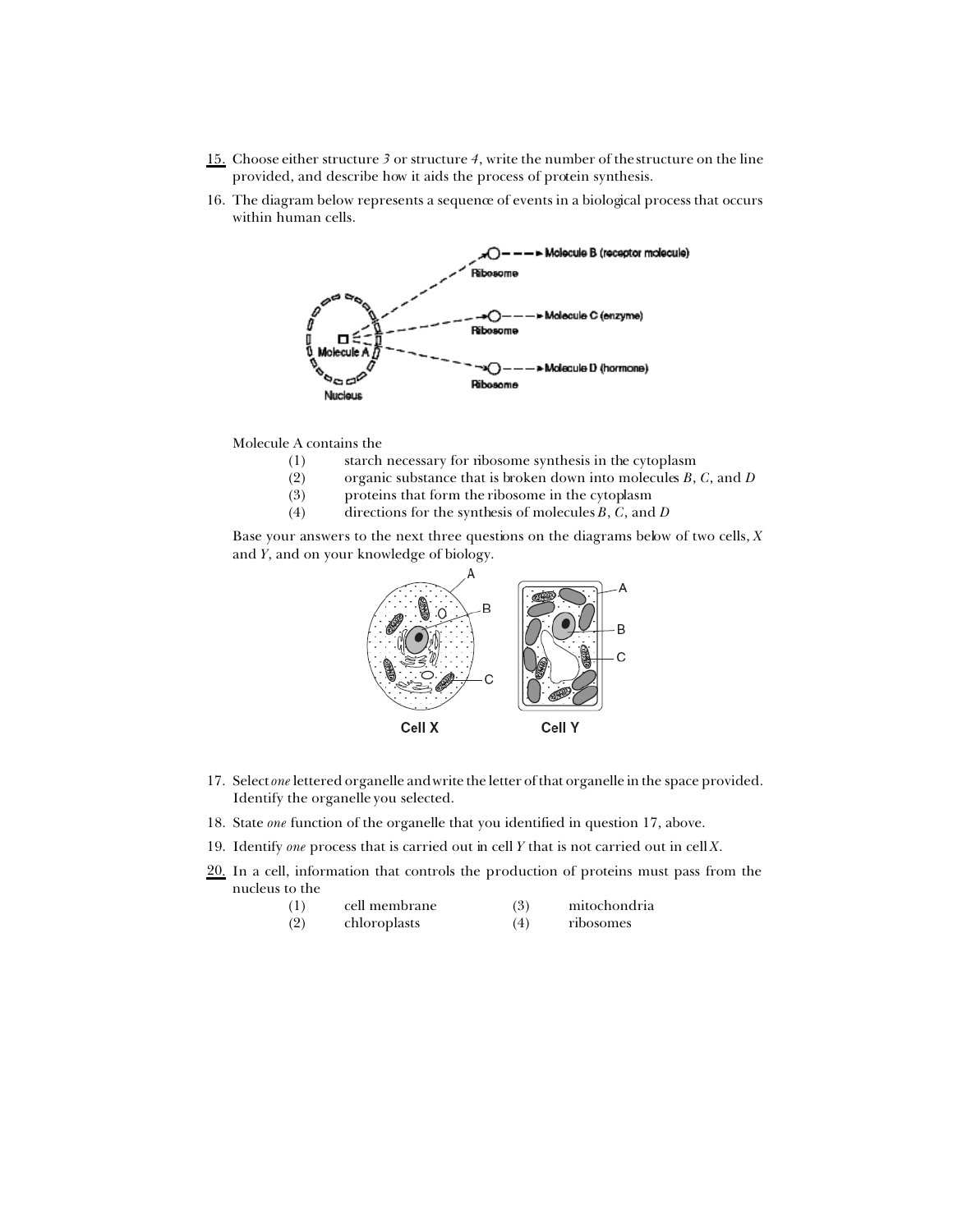- 15. Choose either structure *3* or structure *4*, write the number of the structure on the line provided, and describe how it aids the process of protein synthesis.
- 16. The diagram below represents a sequence of events in a biological process that occurs within human cells.



Molecule A contains the

- (1) starch necessary for ribosome synthesis in the cytoplasm
- (2) organic substance that is broken down into molecules *B*, *C*, and *D*
- (3) proteins that form the ribosome in the cytoplasm
- (4) directions for the synthesis of molecules *B*, *C*, and *D*

Base your answers to the next three questions on the diagrams below of two cells, *X* and *Y*, and on your knowledge of biology.



- 17. Select *one* lettered organelle and write the letter of that organelle in the space provided. Identify the organelle you selected.
- 18. State *one* function of the organelle that you identified in question 17, above.
- 19. Identify *one* process that is carried out in cell *Y* that is not carried out in cell *X*.
- 20. In a cell, information that controls the production of proteins must pass from the nucleus to the

| (1)<br>cell membrane | (3) | mitochondria |
|----------------------|-----|--------------|
|----------------------|-----|--------------|

(2) chloroplasts (4) ribosomes